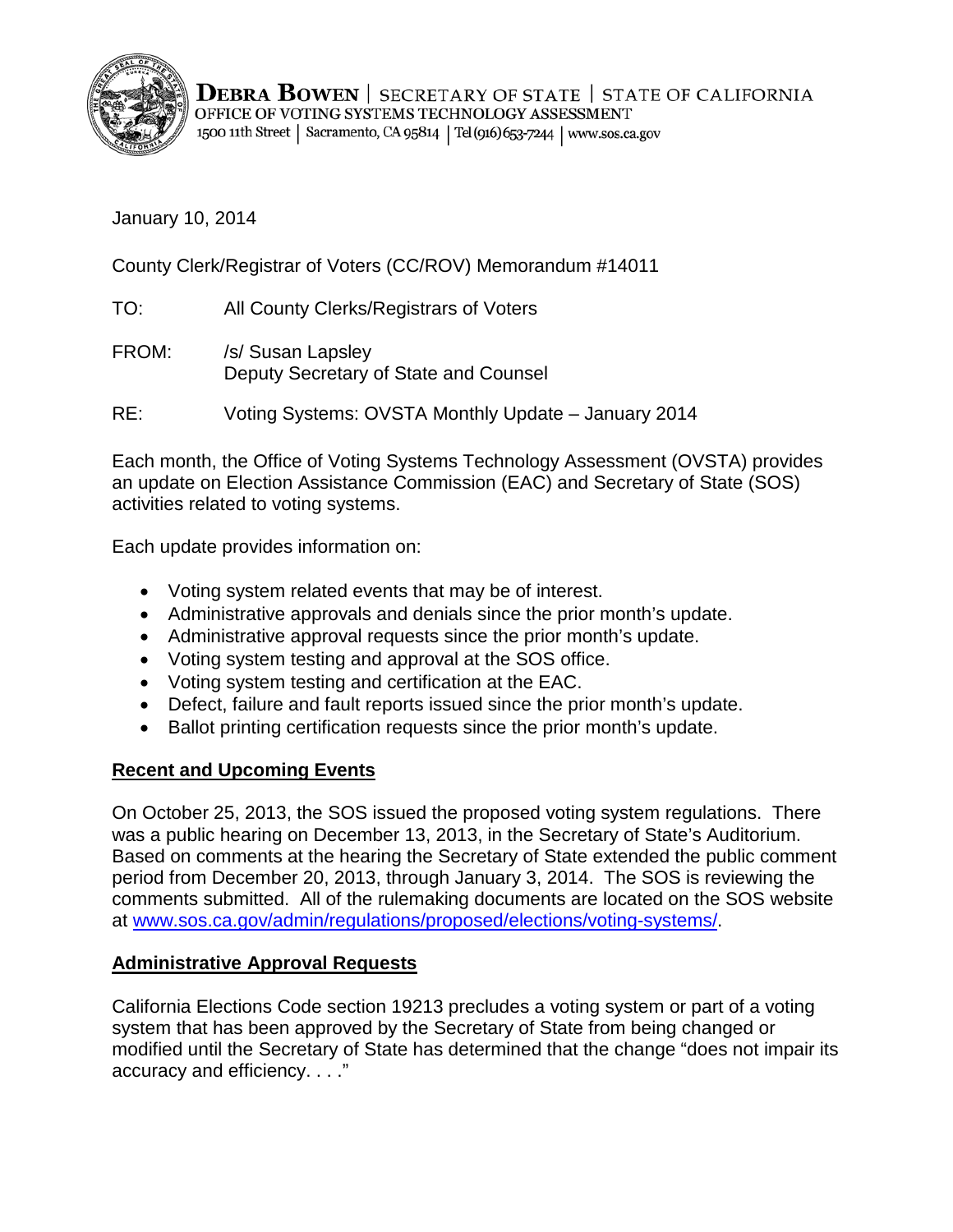

**DEBRA BOWEN** | SECRETARY OF STATE | STATE OF CALIFORNIA OFFICE OF VOTING SYSTEMS TECHNOLOGY ASSESSMENT 1500 11th Street | Sacramento, CA 95814 | Tel (916) 653-7244 | www.sos.ca.gov

January 10, 2014

County Clerk/Registrar of Voters (CC/ROV) Memorandum #14011

- TO: All County Clerks/Registrars of Voters
- FROM: /s/ Susan Lapsley Deputy Secretary of State and Counsel

RE: Voting Systems: OVSTA Monthly Update – January 2014

Each month, the Office of Voting Systems Technology Assessment (OVSTA) provides an update on Election Assistance Commission (EAC) and Secretary of State (SOS) activities related to voting systems.

Each update provides information on:

- Voting system related events that may be of interest.
- Administrative approvals and denials since the prior month's update.
- Administrative approval requests since the prior month's update.
- Voting system testing and approval at the SOS office.
- Voting system testing and certification at the EAC.
- Defect, failure and fault reports issued since the prior month's update.
- Ballot printing certification requests since the prior month's update.

### **Recent and Upcoming Events**

On October 25, 2013, the SOS issued the proposed voting system regulations. There was a public hearing on December 13, 2013, in the Secretary of State's Auditorium. Based on comments at the hearing the Secretary of State extended the public comment period from December 20, 2013, through January 3, 2014. The SOS is reviewing the comments submitted. All of the rulemaking documents are located on the SOS website at [www.sos.ca.gov/admin/regulations/proposed/elections/voting-systems/.](http://www.sos.ca.gov/admin/regulations/proposed/elections/voting-systems/)

### **Administrative Approval Requests**

California Elections Code section 19213 precludes a voting system or part of a voting system that has been approved by the Secretary of State from being changed or modified until the Secretary of State has determined that the change "does not impair its accuracy and efficiency. . . ."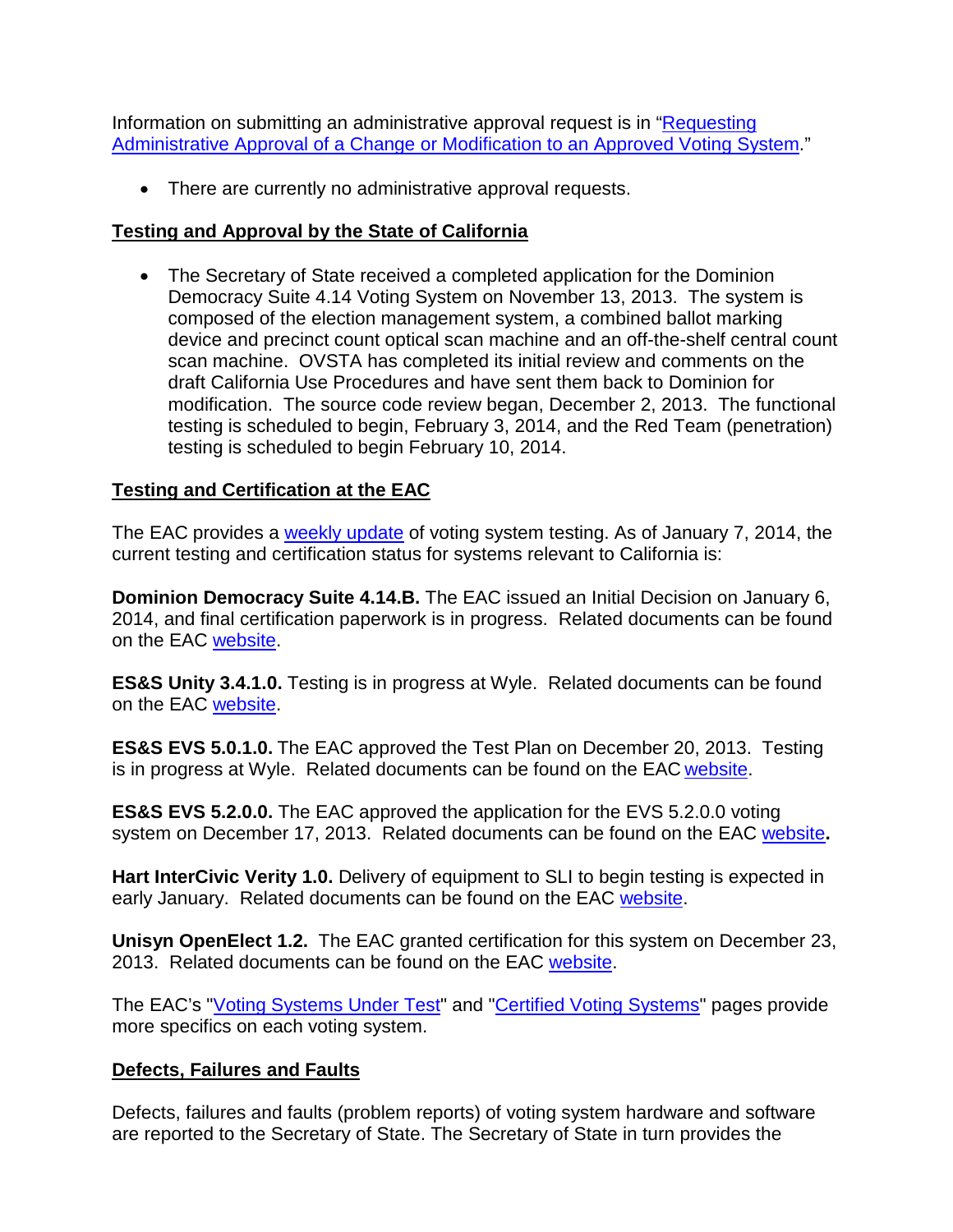Information on submitting an administrative approval request is in ["Requesting](http://www.sos.ca.gov/voting-systems/cert-and-approval/vsysapproval/admin-approval-requirements2012.pdf)  [Administrative Approval of a Change or Modification to an Approved Voting System.](http://www.sos.ca.gov/voting-systems/cert-and-approval/vsysapproval/admin-approval-requirements2012.pdf)"

• There are currently no administrative approval requests.

### **Testing and Approval by the State of California**

• The Secretary of State received a completed application for the Dominion Democracy Suite 4.14 Voting System on November 13, 2013. The system is composed of the election management system, a combined ballot marking device and precinct count optical scan machine and an off-the-shelf central count scan machine. OVSTA has completed its initial review and comments on the draft California Use Procedures and have sent them back to Dominion for modification. The source code review began, December 2, 2013. The functional testing is scheduled to begin, February 3, 2014, and the Red Team (penetration) testing is scheduled to begin February 10, 2014.

# **Testing and Certification at the EAC**

The EAC provides a [weekly update](http://www.eac.gov/blogs/voting_system_testing_update_1714/) of voting system testing. As of January 7, 2014, the current testing and certification status for systems relevant to California is:

**Dominion Democracy Suite 4.14.B.** The EAC issued an Initial Decision on January 6, 2014, and final certification paperwork is in progress. Related documents can be found on the EAC [website.](http://www.eac.gov/testing_and_certification/voting_systems_under_test.aspx)

**ES&S Unity 3.4.1.0.** Testing is in progress at Wyle. Related documents can be found on the EAC [website.](http://www.eac.gov/testing_and_certification/voting_systems_under_test.aspx)

**ES&S EVS 5.0.1.0.** The EAC approved the Test Plan on December 20, 2013. Testing is in progress at Wyle. Related documents can be found on the EAC [website.](http://www.eac.gov/testing_and_certification/voting_systems_under_test.aspx)

**ES&S EVS 5.2.0.0.** The EAC approved the application for the EVS 5.2.0.0 voting system on December 17, 2013. Related documents can be found on the EAC [website](http://www.eac.gov/testing_and_certification/voting_systems_under_test.aspx)**.**

**Hart InterCivic Verity 1.0.** Delivery of equipment to SLI to begin testing is expected in early January. Related documents can be found on the EAC [website.](http://www.eac.gov/testing_and_certification/voting_systems_under_test.aspx)

**Unisyn OpenElect 1.2.** The EAC granted certification for this system on December 23, 2013. Related documents can be found on the EAC [website.](http://www.eac.gov/testing_and_certification/voting_systems_under_test.aspx)

The EAC's ["Voting Systems Under Test"](http://www.eac.gov/testing_and_certification/voting_systems_under_test.aspx) and ["Certified Voting Systems"](http://www.eac.gov/testing_and_certification/certified_voting_systems.aspx) pages provide more specifics on each voting system.

## **Defects, Failures and Faults**

Defects, failures and faults (problem reports) of voting system hardware and software are reported to the Secretary of State. The Secretary of State in turn provides the